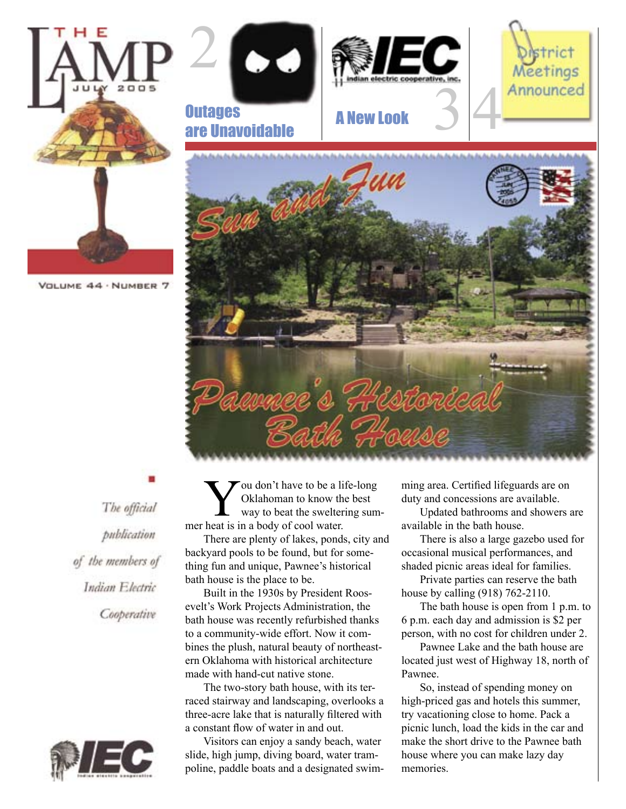

The official publication of the members of Indian Electric Cooperative



ou don't have to be a life-long Oklahoman to know the best way to beat the sweltering summer heat is in a body of cool water.

There are plenty of lakes, ponds, city and backyard pools to be found, but for something fun and unique, Pawnee's historical bath house is the place to be.

Built in the 1930s by President Roosevelt's Work Projects Administration, the bath house was recently refurbished thanks to a community-wide effort. Now it combines the plush, natural beauty of northeastern Oklahoma with historical architecture made with hand-cut native stone.

The two-story bath house, with its terraced stairway and landscaping, overlooks a three-acre lake that is naturally filtered with a constant flow of water in and out.

Visitors can enjoy a sandy beach, water slide, high jump, diving board, water trampoline, paddle boats and a designated swimming area. Certified lifeguards are on duty and concessions are available.

Updated bathrooms and showers are available in the bath house.

There is also a large gazebo used for occasional musical performances, and shaded picnic areas ideal for families.

Private parties can reserve the bath house by calling (918) 762-2110.

The bath house is open from 1 p.m. to 6 p.m. each day and admission is \$2 per person, with no cost for children under 2.

Pawnee Lake and the bath house are located just west of Highway 18, north of Pawnee.

So, instead of spending money on high-priced gas and hotels this summer, try vacationing close to home. Pack a picnic lunch, load the kids in the car and make the short drive to the Pawnee bath house where you can make lazy day memories.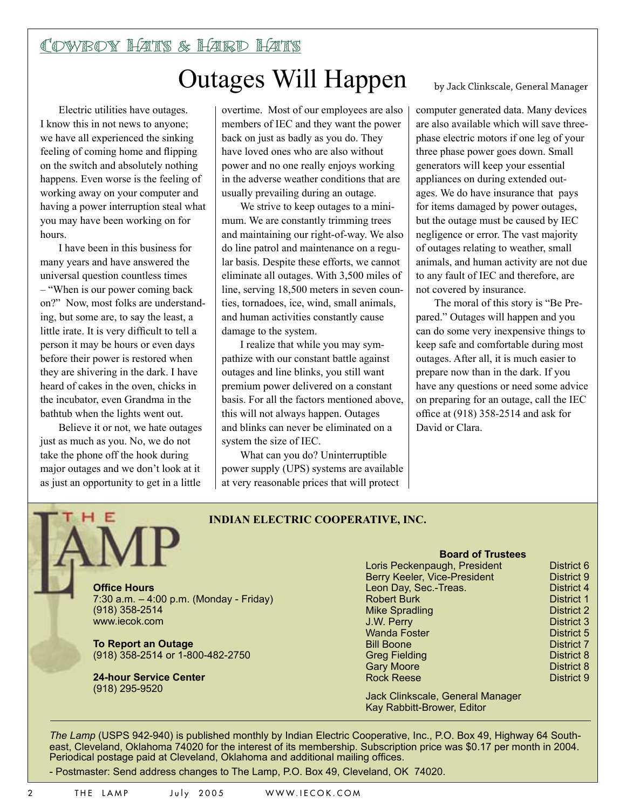### Cowboy Hats & Hard Hats Outages Will Happen

Electric utilities have outages. I know this in not news to anyone; we have all experienced the sinking feeling of coming home and flipping on the switch and absolutely nothing happens. Even worse is the feeling of working away on your computer and having a power interruption steal what you may have been working on for hours.

I have been in this business for many years and have answered the universal question countless times – "When is our power coming back on?" Now, most folks are understanding, but some are, to say the least, a little irate. It is very difficult to tell a person it may be hours or even days before their power is restored when they are shivering in the dark. I have heard of cakes in the oven, chicks in the incubator, even Grandma in the bathtub when the lights went out.

Believe it or not, we hate outages just as much as you. No, we do not take the phone off the hook during major outages and we don't look at it as just an opportunity to get in a little

overtime. Most of our employees are also members of IEC and they want the power back on just as badly as you do. They have loved ones who are also without power and no one really enjoys working in the adverse weather conditions that are usually prevailing during an outage.

We strive to keep outages to a minimum. We are constantly trimming trees and maintaining our right-of-way. We also do line patrol and maintenance on a regular basis. Despite these efforts, we cannot eliminate all outages. With 3,500 miles of line, serving 18,500 meters in seven counties, tornadoes, ice, wind, small animals, and human activities constantly cause damage to the system.

I realize that while you may sympathize with our constant battle against outages and line blinks, you still want premium power delivered on a constant basis. For all the factors mentioned above, this will not always happen. Outages and blinks can never be eliminated on a system the size of IEC.

What can you do? Uninterruptible power supply (UPS) systems are available at very reasonable prices that will protect

by Jack Clinkscale, General Manager

computer generated data. Many devices are also available which will save threephase electric motors if one leg of your three phase power goes down. Small generators will keep your essential appliances on during extended outages. We do have insurance that pays for items damaged by power outages, but the outage must be caused by IEC negligence or error. The vast majority of outages relating to weather, small animals, and human activity are not due to any fault of IEC and therefore, are not covered by insurance.

The moral of this story is "Be Prepared." Outages will happen and you can do some very inexpensive things to keep safe and comfortable during most outages. After all, it is much easier to prepare now than in the dark. If you have any questions or need some advice on preparing for an outage, call the IEC office at (918) 358-2514 and ask for David or Clara.

#### **INDIAN ELECTRIC COOPERATIVE, INC.**

**Office Hours** 7:30 a.m. – 4:00 p.m. (Monday - Friday) (918) 358-2514 www.iecok.com

**To Report an Outage** (918) 358-2514 or 1-800-482-2750

**24-hour Service Center**  (918) 295-9520

#### **Board of Trustees**

| District 6        |
|-------------------|
| District 9        |
| <b>District 4</b> |
| <b>District 1</b> |
| District 2        |
| District 3        |
| District 5        |
| <b>District 7</b> |
| District 8        |
| District 8        |
| District 9        |
|                   |

Jack Clinkscale, General Manager Kay Rabbitt-Brower, Editor

*The Lamp* (USPS 942-940) is published monthly by Indian Electric Cooperative, Inc., P.O. Box 49, Highway 64 Southeast, Cleveland, Oklahoma 74020 for the interest of its membership. Subscription price was \$0.17 per month in 2004. Periodical postage paid at Cleveland, Oklahoma and additional mailing offices.

- Postmaster: Send address changes to The Lamp, P.O. Box 49, Cleveland, OK 74020.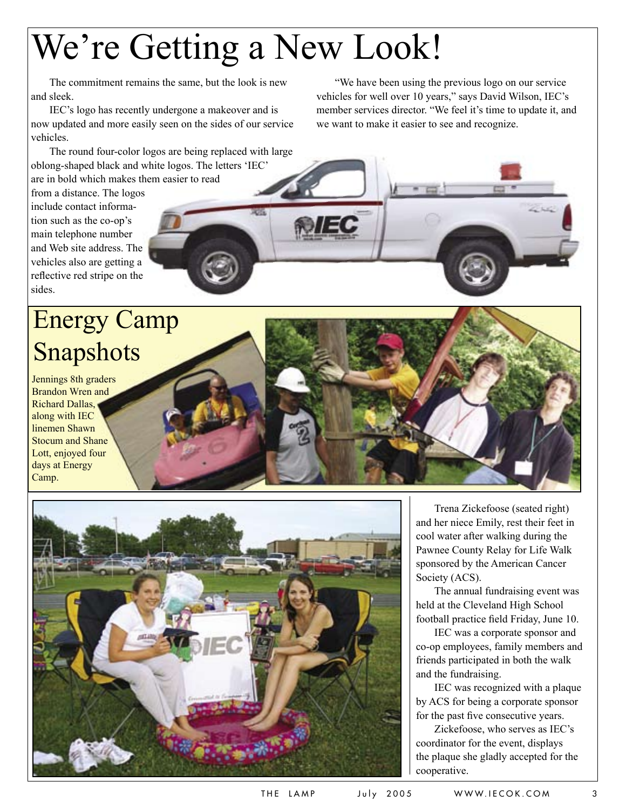# We're Getting a New Look!

The commitment remains the same, but the look is new and sleek.

IEC's logo has recently undergone a makeover and is now updated and more easily seen on the sides of our service vehicles.

The round four-color logos are being replaced with large oblong-shaped black and white logos. The letters 'IEC' are in bold which makes them easier to read

from a distance. The logos

include contact information such as the co-op's main telephone number and Web site address. The vehicles also are getting a reflective red stripe on the sides.

## Energy Camp Snapshots

Jennings 8th graders Brandon Wren and Richard Dallas, along with IEC linemen Shawn Stocum and Shane Lott, enjoyed four days at Energy Camp.



"We have been using the previous logo on our service vehicles for well over 10 years," says David Wilson, IEC's member services director. "We feel it's time to update it, and we want to make it easier to see and recognize.



The annual fundraising event was held at the Cleveland High School football practice field Friday, June 10.

IEC was a corporate sponsor and co-op employees, family members and friends participated in both the walk and the fundraising.

IEC was recognized with a plaque by ACS for being a corporate sponsor for the past five consecutive years.

Zickefoose, who serves as IEC's coordinator for the event, displays the plaque she gladly accepted for the cooperative.